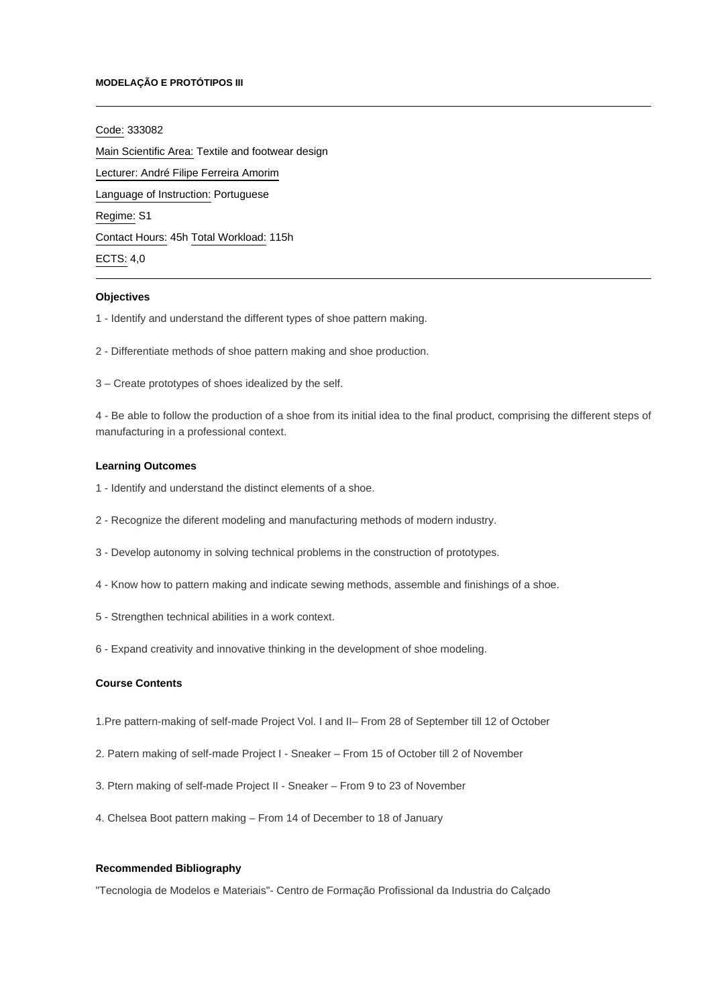#### **MODELAÇÃO E PROTÓTIPOS III**

#### Code: 333082

Main Scientific Area: Textile and footwear design Lecturer: [André Filipe Ferreira Amorim](mailto:afamorim@ipca.pt) Language of Instruction: Portuguese Regime: S1 Contact Hours: 45h Total Workload: 115h ECTS: 4,0

#### **Objectives**

- 1 Identify and understand the different types of shoe pattern making.
- 2 Differentiate methods of shoe pattern making and shoe production.
- 3 Create prototypes of shoes idealized by the self.

4 - Be able to follow the production of a shoe from its initial idea to the final product, comprising the different steps of manufacturing in a professional context.

## **Learning Outcomes**

- 1 Identify and understand the distinct elements of a shoe.
- 2 Recognize the diferent modeling and manufacturing methods of modern industry.
- 3 Develop autonomy in solving technical problems in the construction of prototypes.
- 4 Know how to pattern making and indicate sewing methods, assemble and finishings of a shoe.
- 5 Strengthen technical abilities in a work context.
- 6 Expand creativity and innovative thinking in the development of shoe modeling.

#### **Course Contents**

- 1.Pre pattern-making of self-made Project Vol. I and II– From 28 of September till 12 of October
- 2. Patern making of self-made Project I Sneaker From 15 of October till 2 of November
- 3. Ptern making of self-made Project II Sneaker From 9 to 23 of November
- 4. Chelsea Boot pattern making From 14 of December to 18 of January

## **Recommended Bibliography**

"Tecnologia de Modelos e Materiais"- Centro de Formação Profissional da Industria do Calçado